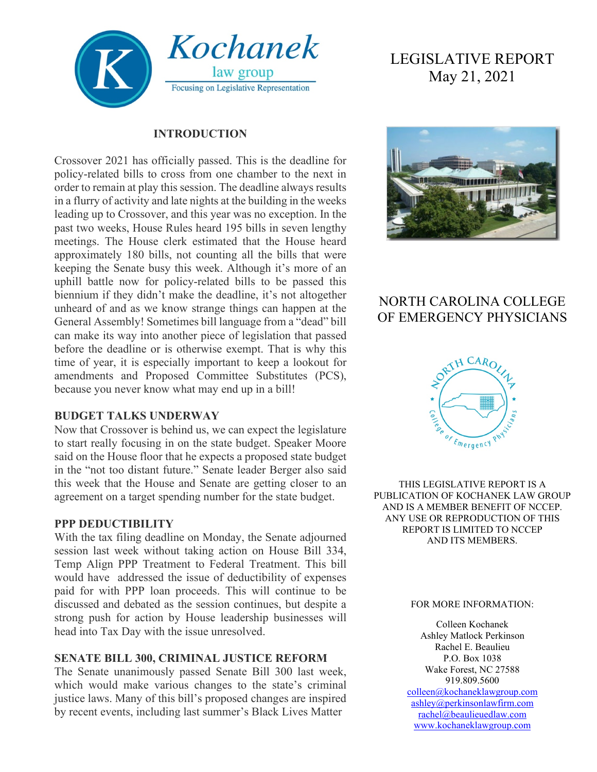

#### **INTRODUCTION**

Crossover 2021 has officially passed. This is the deadline for policy-related bills to cross from one chamber to the next in order to remain at play this session. The deadline always results in a flurry of activity and late nights at the building in the weeks leading up to Crossover, and this year was no exception. In the past two weeks, House Rules heard 195 bills in seven lengthy meetings. The House clerk estimated that the House heard approximately 180 bills, not counting all the bills that were keeping the Senate busy this week. Although it's more of an uphill battle now for policy-related bills to be passed this biennium if they didn't make the deadline, it's not altogether unheard of and as we know strange things can happen at the General Assembly! Sometimes bill language from a "dead" bill can make its way into another piece of legislation that passed before the deadline or is otherwise exempt. That is why this time of year, it is especially important to keep a lookout for amendments and Proposed Committee Substitutes (PCS), because you never know what may end up in a bill!

#### **BUDGET TALKS UNDERWAY**

Now that Crossover is behind us, we can expect the legislature to start really focusing in on the state budget. Speaker Moore said on the House floor that he expects a proposed state budget in the "not too distant future." Senate leader Berger also said this week that the House and Senate are getting closer to an agreement on a target spending number for the state budget.

#### **PPP DEDUCTIBILITY**

With the tax filing deadline on Monday, the Senate adjourned session last week without taking action on House Bill 334, Temp Align PPP Treatment to Federal Treatment. This bill would have addressed the issue of deductibility of expenses paid for with PPP loan proceeds. This will continue to be discussed and debated as the session continues, but despite a strong push for action by House leadership businesses will head into Tax Day with the issue unresolved.

#### **SENATE BILL 300, CRIMINAL JUSTICE REFORM**

The Senate unanimously passed Senate Bill 300 last week, which would make various changes to the state's criminal justice laws. Many of this bill's proposed changes are inspired by recent events, including last summer's Black Lives Matter

# LEGISLATIVE REPORT May 21, 2021



# NORTH CAROLINA COLLEGE OF EMERGENCY PHYSICIANS



THIS LEGISLATIVE REPORT IS A PUBLICATION OF KOCHANEK LAW GROUP AND IS A MEMBER BENEFIT OF NCCEP. ANY USE OR REPRODUCTION OF THIS REPORT IS LIMITED TO NCCEP AND ITS MEMBERS.

#### FOR MORE INFORMATION:

Colleen Kochanek Ashley Matlock Perkinson Rachel E. Beaulieu P.O. Box 1038 Wake Forest, NC 27588 919.809.5600 [colleen@kochaneklawgroup.com](mailto:colleen@kochaneklawgroup.com)

[ashley@perkinsonlawfirm.com](mailto:ashley@perkinsonlawfirm.com) [rachel@beaulieuedlaw.com](mailto:rachel@beaulieuedlaw.com) [www.kochaneklawgroup.com](http://www.kochaneklawgroup.com/)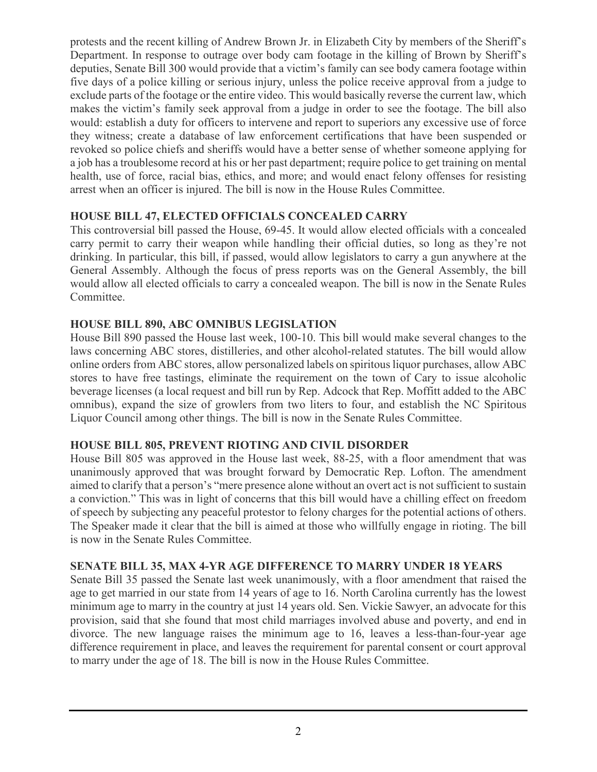protests and the recent killing of Andrew Brown Jr. in Elizabeth City by members of the Sheriff's Department. In response to outrage over body cam footage in the killing of Brown by Sheriff's deputies, Senate Bill 300 would provide that a victim's family can see body camera footage within five days of a police killing or serious injury, unless the police receive approval from a judge to exclude parts of the footage or the entire video. This would basically reverse the current law, which makes the victim's family seek approval from a judge in order to see the footage. The bill also would: establish a duty for officers to intervene and report to superiors any excessive use of force they witness; create a database of law enforcement certifications that have been suspended or revoked so police chiefs and sheriffs would have a better sense of whether someone applying for a job has a troublesome record at his or her past department; require police to get training on mental health, use of force, racial bias, ethics, and more; and would enact felony offenses for resisting arrest when an officer is injured. The bill is now in the House Rules Committee.

#### **HOUSE BILL 47, ELECTED OFFICIALS CONCEALED CARRY**

This controversial bill passed the House, 69-45. It would allow elected officials with a concealed carry permit to carry their weapon while handling their official duties, so long as they're not drinking. In particular, this bill, if passed, would allow legislators to carry a gun anywhere at the General Assembly. Although the focus of press reports was on the General Assembly, the bill would allow all elected officials to carry a concealed weapon. The bill is now in the Senate Rules Committee.

#### **HOUSE BILL 890, ABC OMNIBUS LEGISLATION**

House Bill 890 passed the House last week, 100-10. This bill would make several changes to the laws concerning ABC stores, distilleries, and other alcohol-related statutes. The bill would allow online orders from ABC stores, allow personalized labels on spiritous liquor purchases, allow ABC stores to have free tastings, eliminate the requirement on the town of Cary to issue alcoholic beverage licenses (a local request and bill run by Rep. Adcock that Rep. Moffitt added to the ABC omnibus), expand the size of growlers from two liters to four, and establish the NC Spiritous Liquor Council among other things. The bill is now in the Senate Rules Committee.

# **HOUSE BILL 805, PREVENT RIOTING AND CIVIL DISORDER**

House Bill 805 was approved in the House last week, 88-25, with a floor amendment that was unanimously approved that was brought forward by Democratic Rep. Lofton. The amendment aimed to clarify that a person's "mere presence alone without an overt act is not sufficient to sustain a conviction." This was in light of concerns that this bill would have a chilling effect on freedom of speech by subjecting any peaceful protestor to felony charges for the potential actions of others. The Speaker made it clear that the bill is aimed at those who willfully engage in rioting. The bill is now in the Senate Rules Committee.

#### **SENATE BILL 35, MAX 4-YR AGE DIFFERENCE TO MARRY UNDER 18 YEARS**

Senate Bill 35 passed the Senate last week unanimously, with a floor amendment that raised the age to get married in our state from 14 years of age to 16. North Carolina currently has the lowest minimum age to marry in the country at just 14 years old. Sen. Vickie Sawyer, an advocate for this provision, said that she found that most child marriages involved abuse and poverty, and end in divorce. The new language raises the minimum age to 16, leaves a less-than-four-year age difference requirement in place, and leaves the requirement for parental consent or court approval to marry under the age of 18. The bill is now in the House Rules Committee.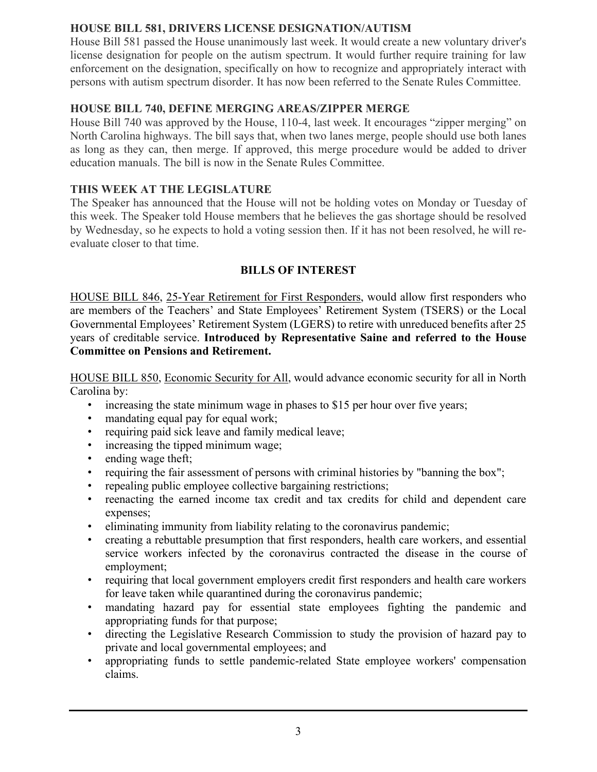# **HOUSE BILL 581, DRIVERS LICENSE DESIGNATION/AUTISM**

House Bill 581 passed the House unanimously last week. It would create a new voluntary driver's license designation for people on the autism spectrum. It would further require training for law enforcement on the designation, specifically on how to recognize and appropriately interact with persons with autism spectrum disorder. It has now been referred to the Senate Rules Committee.

# **HOUSE BILL 740, DEFINE MERGING AREAS/ZIPPER MERGE**

House Bill 740 was approved by the House, 110-4, last week. It encourages "zipper merging" on North Carolina highways. The bill says that, when two lanes merge, people should use both lanes as long as they can, then merge. If approved, this merge procedure would be added to driver education manuals. The bill is now in the Senate Rules Committee.

#### **THIS WEEK AT THE LEGISLATURE**

The Speaker has announced that the House will not be holding votes on Monday or Tuesday of this week. The Speaker told House members that he believes the gas shortage should be resolved by Wednesday, so he expects to hold a voting session then. If it has not been resolved, he will reevaluate closer to that time.

#### **BILLS OF INTEREST**

HOUSE BILL 846, 25-Year Retirement for First Responders, would allow first responders who are members of the Teachers' and State Employees' Retirement System (TSERS) or the Local Governmental Employees' Retirement System (LGERS) to retire with unreduced benefits after 25 years of creditable service. **Introduced by Representative Saine and referred to the House Committee on Pensions and Retirement.**

HOUSE BILL 850, Economic Security for All, would advance economic security for all in North Carolina by:

- increasing the state minimum wage in phases to \$15 per hour over five years;
- mandating equal pay for equal work;
- requiring paid sick leave and family medical leave;
- increasing the tipped minimum wage;
- ending wage theft;
- requiring the fair assessment of persons with criminal histories by "banning the box";
- repealing public employee collective bargaining restrictions;
- reenacting the earned income tax credit and tax credits for child and dependent care expenses;
- eliminating immunity from liability relating to the coronavirus pandemic;
- creating a rebuttable presumption that first responders, health care workers, and essential service workers infected by the coronavirus contracted the disease in the course of employment;
- requiring that local government employers credit first responders and health care workers for leave taken while quarantined during the coronavirus pandemic;
- mandating hazard pay for essential state employees fighting the pandemic and appropriating funds for that purpose;
- directing the Legislative Research Commission to study the provision of hazard pay to private and local governmental employees; and
- appropriating funds to settle pandemic-related State employee workers' compensation claims.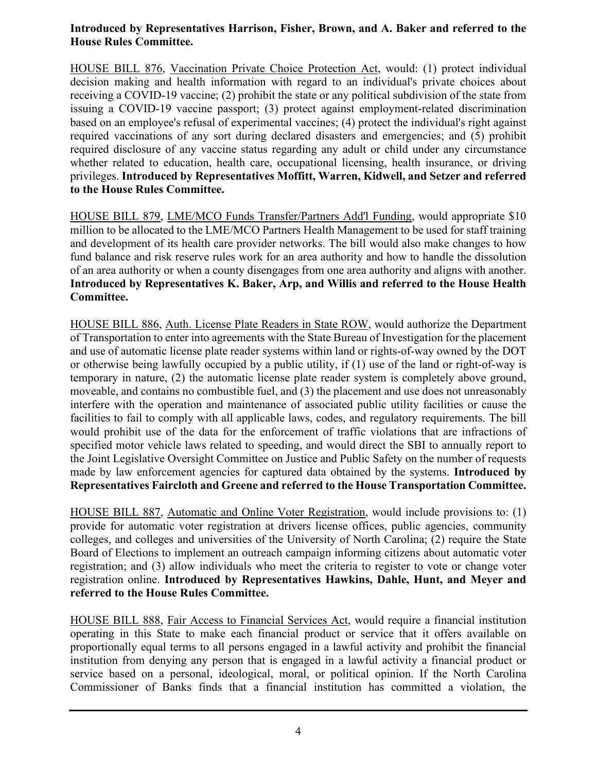#### **Introduced by Representatives Harrison, Fisher, Brown, and A. Baker and referred to the House Rules Committee.**

HOUSE BILL 876, Vaccination Private Choice Protection Act, would: (1) protect individual decision making and health information with regard to an individual's private choices about receiving a COVID-19 vaccine; (2) prohibit the state or any political subdivision of the state from issuing a COVID-19 vaccine passport; (3) protect against employment-related discrimination based on an employee's refusal of experimental vaccines; (4) protect the individual's right against required vaccinations of any sort during declared disasters and emergencies; and (5) prohibit required disclosure of any vaccine status regarding any adult or child under any circumstance whether related to education, health care, occupational licensing, health insurance, or driving privileges. **Introduced by Representatives Moffitt, Warren, Kidwell, and Setzer and referred to the House Rules Committee.**

HOUSE BILL 879, LME/MCO Funds Transfer/Partners Add'l Funding, would appropriate \$10 million to be allocated to the LME/MCO Partners Health Management to be used for staff training and development of its health care provider networks. The bill would also make changes to how fund balance and risk reserve rules work for an area authority and how to handle the dissolution of an area authority or when a county disengages from one area authority and aligns with another. **Introduced by Representatives K. Baker, Arp, and Willis and referred to the House Health Committee.**

HOUSE BILL 886, Auth. License Plate Readers in State ROW, would authorize the Department of Transportation to enter into agreements with the State Bureau of Investigation for the placement and use of automatic license plate reader systems within land or rights-of-way owned by the DOT or otherwise being lawfully occupied by a public utility, if (1) use of the land or right-of-way is temporary in nature, (2) the automatic license plate reader system is completely above ground, moveable, and contains no combustible fuel, and (3) the placement and use does not unreasonably interfere with the operation and maintenance of associated public utility facilities or cause the facilities to fail to comply with all applicable laws, codes, and regulatory requirements. The bill would prohibit use of the data for the enforcement of traffic violations that are infractions of specified motor vehicle laws related to speeding, and would direct the SBI to annually report to the Joint Legislative Oversight Committee on Justice and Public Safety on the number of requests made by law enforcement agencies for captured data obtained by the systems. **Introduced by Representatives Faircloth and Greene and referred to the House Transportation Committee.**

HOUSE BILL 887, Automatic and Online Voter Registration, would include provisions to: (1) provide for automatic voter registration at drivers license offices, public agencies, community colleges, and colleges and universities of the University of North Carolina; (2) require the State Board of Elections to implement an outreach campaign informing citizens about automatic voter registration; and (3) allow individuals who meet the criteria to register to vote or change voter registration online. **Introduced by Representatives Hawkins, Dahle, Hunt, and Meyer and referred to the House Rules Committee.**

HOUSE BILL 888, Fair Access to Financial Services Act, would require a financial institution operating in this State to make each financial product or service that it offers available on proportionally equal terms to all persons engaged in a lawful activity and prohibit the financial institution from denying any person that is engaged in a lawful activity a financial product or service based on a personal, ideological, moral, or political opinion. If the North Carolina Commissioner of Banks finds that a financial institution has committed a violation, the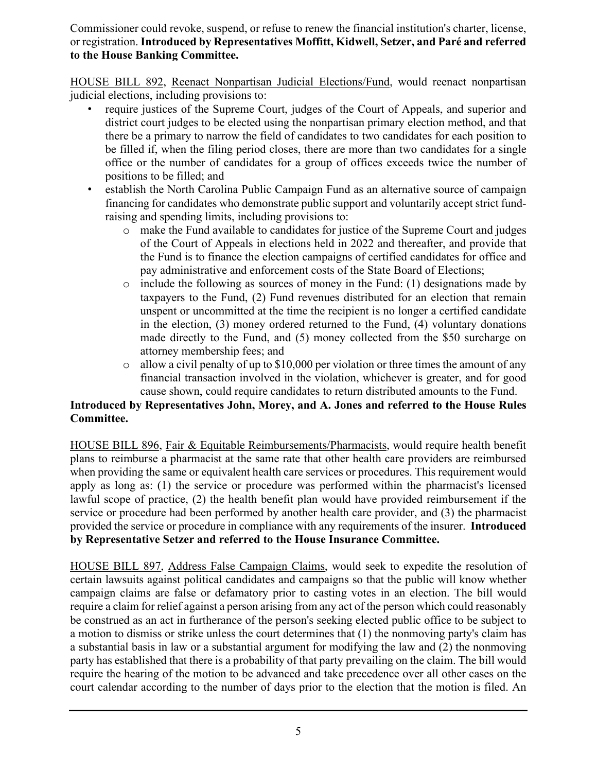Commissioner could revoke, suspend, or refuse to renew the financial institution's charter, license, or registration. **Introduced by Representatives Moffitt, Kidwell, Setzer, and Paré and referred to the House Banking Committee.**

HOUSE BILL 892, Reenact Nonpartisan Judicial Elections/Fund, would reenact nonpartisan judicial elections, including provisions to:

- require justices of the Supreme Court, judges of the Court of Appeals, and superior and district court judges to be elected using the nonpartisan primary election method, and that there be a primary to narrow the field of candidates to two candidates for each position to be filled if, when the filing period closes, there are more than two candidates for a single office or the number of candidates for a group of offices exceeds twice the number of positions to be filled; and
- establish the North Carolina Public Campaign Fund as an alternative source of campaign financing for candidates who demonstrate public support and voluntarily accept strict fundraising and spending limits, including provisions to:
	- o make the Fund available to candidates for justice of the Supreme Court and judges of the Court of Appeals in elections held in 2022 and thereafter, and provide that the Fund is to finance the election campaigns of certified candidates for office and pay administrative and enforcement costs of the State Board of Elections;
	- $\circ$  include the following as sources of money in the Fund: (1) designations made by taxpayers to the Fund, (2) Fund revenues distributed for an election that remain unspent or uncommitted at the time the recipient is no longer a certified candidate in the election, (3) money ordered returned to the Fund, (4) voluntary donations made directly to the Fund, and (5) money collected from the \$50 surcharge on attorney membership fees; and
	- $\circ$  allow a civil penalty of up to \$10,000 per violation or three times the amount of any financial transaction involved in the violation, whichever is greater, and for good cause shown, could require candidates to return distributed amounts to the Fund.

# **Introduced by Representatives John, Morey, and A. Jones and referred to the House Rules Committee.**

HOUSE BILL 896, Fair & Equitable Reimbursements/Pharmacists, would require health benefit plans to reimburse a pharmacist at the same rate that other health care providers are reimbursed when providing the same or equivalent health care services or procedures. This requirement would apply as long as: (1) the service or procedure was performed within the pharmacist's licensed lawful scope of practice, (2) the health benefit plan would have provided reimbursement if the service or procedure had been performed by another health care provider, and (3) the pharmacist provided the service or procedure in compliance with any requirements of the insurer. **Introduced by Representative Setzer and referred to the House Insurance Committee.**

HOUSE BILL 897, Address False Campaign Claims, would seek to expedite the resolution of certain lawsuits against political candidates and campaigns so that the public will know whether campaign claims are false or defamatory prior to casting votes in an election. The bill would require a claim for relief against a person arising from any act of the person which could reasonably be construed as an act in furtherance of the person's seeking elected public office to be subject to a motion to dismiss or strike unless the court determines that (1) the nonmoving party's claim has a substantial basis in law or a substantial argument for modifying the law and (2) the nonmoving party has established that there is a probability of that party prevailing on the claim. The bill would require the hearing of the motion to be advanced and take precedence over all other cases on the court calendar according to the number of days prior to the election that the motion is filed. An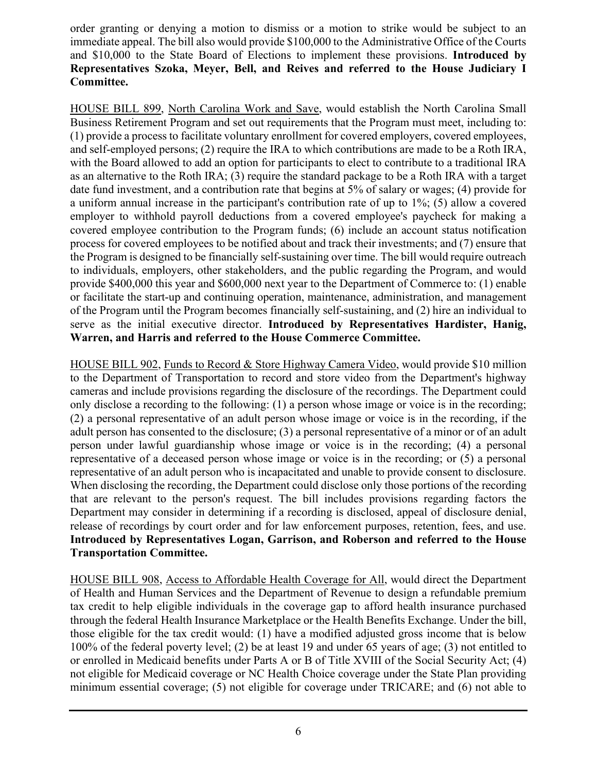order granting or denying a motion to dismiss or a motion to strike would be subject to an immediate appeal. The bill also would provide \$100,000 to the Administrative Office of the Courts and \$10,000 to the State Board of Elections to implement these provisions. **Introduced by Representatives Szoka, Meyer, Bell, and Reives and referred to the House Judiciary I Committee.**

HOUSE BILL 899, North Carolina Work and Save, would establish the North Carolina Small Business Retirement Program and set out requirements that the Program must meet, including to: (1) provide a process to facilitate voluntary enrollment for covered employers, covered employees, and self-employed persons; (2) require the IRA to which contributions are made to be a Roth IRA, with the Board allowed to add an option for participants to elect to contribute to a traditional IRA as an alternative to the Roth IRA; (3) require the standard package to be a Roth IRA with a target date fund investment, and a contribution rate that begins at 5% of salary or wages; (4) provide for a uniform annual increase in the participant's contribution rate of up to 1%; (5) allow a covered employer to withhold payroll deductions from a covered employee's paycheck for making a covered employee contribution to the Program funds; (6) include an account status notification process for covered employees to be notified about and track their investments; and (7) ensure that the Program is designed to be financially self-sustaining over time. The bill would require outreach to individuals, employers, other stakeholders, and the public regarding the Program, and would provide \$400,000 this year and \$600,000 next year to the Department of Commerce to: (1) enable or facilitate the start-up and continuing operation, maintenance, administration, and management of the Program until the Program becomes financially self-sustaining, and (2) hire an individual to serve as the initial executive director. **Introduced by Representatives Hardister, Hanig, Warren, and Harris and referred to the House Commerce Committee.**

HOUSE BILL 902, Funds to Record & Store Highway Camera Video, would provide \$10 million to the Department of Transportation to record and store video from the Department's highway cameras and include provisions regarding the disclosure of the recordings. The Department could only disclose a recording to the following: (1) a person whose image or voice is in the recording; (2) a personal representative of an adult person whose image or voice is in the recording, if the adult person has consented to the disclosure; (3) a personal representative of a minor or of an adult person under lawful guardianship whose image or voice is in the recording; (4) a personal representative of a deceased person whose image or voice is in the recording; or (5) a personal representative of an adult person who is incapacitated and unable to provide consent to disclosure. When disclosing the recording, the Department could disclose only those portions of the recording that are relevant to the person's request. The bill includes provisions regarding factors the Department may consider in determining if a recording is disclosed, appeal of disclosure denial, release of recordings by court order and for law enforcement purposes, retention, fees, and use. **Introduced by Representatives Logan, Garrison, and Roberson and referred to the House Transportation Committee.**

HOUSE BILL 908, Access to Affordable Health Coverage for All, would direct the Department of Health and Human Services and the Department of Revenue to design a refundable premium tax credit to help eligible individuals in the coverage gap to afford health insurance purchased through the federal Health Insurance Marketplace or the Health Benefits Exchange. Under the bill, those eligible for the tax credit would: (1) have a modified adjusted gross income that is below 100% of the federal poverty level; (2) be at least 19 and under 65 years of age; (3) not entitled to or enrolled in Medicaid benefits under Parts A or B of Title XVIII of the Social Security Act; (4) not eligible for Medicaid coverage or NC Health Choice coverage under the State Plan providing minimum essential coverage; (5) not eligible for coverage under TRICARE; and (6) not able to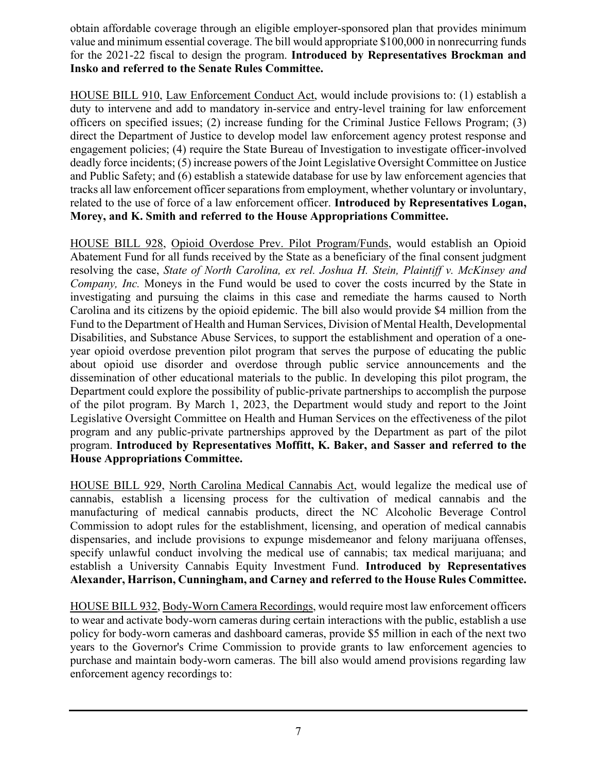obtain affordable coverage through an eligible employer-sponsored plan that provides minimum value and minimum essential coverage. The bill would appropriate \$100,000 in nonrecurring funds for the 2021-22 fiscal to design the program. **Introduced by Representatives Brockman and Insko and referred to the Senate Rules Committee.**

HOUSE BILL 910, Law Enforcement Conduct Act, would include provisions to: (1) establish a duty to intervene and add to mandatory in-service and entry-level training for law enforcement officers on specified issues; (2) increase funding for the Criminal Justice Fellows Program; (3) direct the Department of Justice to develop model law enforcement agency protest response and engagement policies; (4) require the State Bureau of Investigation to investigate officer-involved deadly force incidents; (5) increase powers of the Joint Legislative Oversight Committee on Justice and Public Safety; and (6) establish a statewide database for use by law enforcement agencies that tracks all law enforcement officer separations from employment, whether voluntary or involuntary, related to the use of force of a law enforcement officer. **Introduced by Representatives Logan, Morey, and K. Smith and referred to the House Appropriations Committee.**

HOUSE BILL 928, Opioid Overdose Prev. Pilot Program/Funds, would establish an Opioid Abatement Fund for all funds received by the State as a beneficiary of the final consent judgment resolving the case, *State of North Carolina, ex rel. Joshua H. Stein, Plaintiff v. McKinsey and Company, Inc.* Moneys in the Fund would be used to cover the costs incurred by the State in investigating and pursuing the claims in this case and remediate the harms caused to North Carolina and its citizens by the opioid epidemic. The bill also would provide \$4 million from the Fund to the Department of Health and Human Services, Division of Mental Health, Developmental Disabilities, and Substance Abuse Services, to support the establishment and operation of a oneyear opioid overdose prevention pilot program that serves the purpose of educating the public about opioid use disorder and overdose through public service announcements and the dissemination of other educational materials to the public. In developing this pilot program, the Department could explore the possibility of public-private partnerships to accomplish the purpose of the pilot program. By March 1, 2023, the Department would study and report to the Joint Legislative Oversight Committee on Health and Human Services on the effectiveness of the pilot program and any public-private partnerships approved by the Department as part of the pilot program. **Introduced by Representatives Moffitt, K. Baker, and Sasser and referred to the House Appropriations Committee.**

HOUSE BILL 929, North Carolina Medical Cannabis Act, would legalize the medical use of cannabis, establish a licensing process for the cultivation of medical cannabis and the manufacturing of medical cannabis products, direct the NC Alcoholic Beverage Control Commission to adopt rules for the establishment, licensing, and operation of medical cannabis dispensaries, and include provisions to expunge misdemeanor and felony marijuana offenses, specify unlawful conduct involving the medical use of cannabis; tax medical marijuana; and establish a University Cannabis Equity Investment Fund. **Introduced by Representatives Alexander, Harrison, Cunningham, and Carney and referred to the House Rules Committee.**

HOUSE BILL 932, Body-Worn Camera Recordings, would require most law enforcement officers to wear and activate body-worn cameras during certain interactions with the public, establish a use policy for body-worn cameras and dashboard cameras, provide \$5 million in each of the next two years to the Governor's Crime Commission to provide grants to law enforcement agencies to purchase and maintain body-worn cameras. The bill also would amend provisions regarding law enforcement agency recordings to: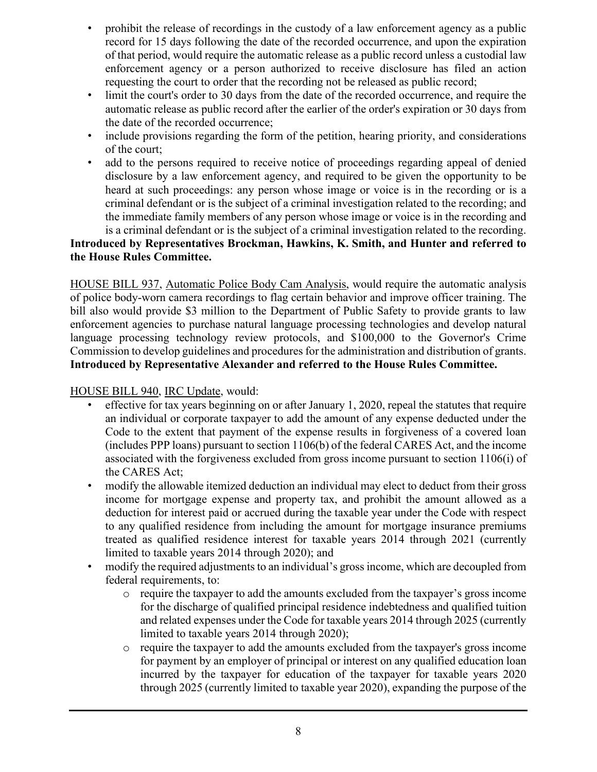- prohibit the release of recordings in the custody of a law enforcement agency as a public record for 15 days following the date of the recorded occurrence, and upon the expiration of that period, would require the automatic release as a public record unless a custodial law enforcement agency or a person authorized to receive disclosure has filed an action requesting the court to order that the recording not be released as public record;
- limit the court's order to 30 days from the date of the recorded occurrence, and require the automatic release as public record after the earlier of the order's expiration or 30 days from the date of the recorded occurrence;
- include provisions regarding the form of the petition, hearing priority, and considerations of the court;
- add to the persons required to receive notice of proceedings regarding appeal of denied disclosure by a law enforcement agency, and required to be given the opportunity to be heard at such proceedings: any person whose image or voice is in the recording or is a criminal defendant or is the subject of a criminal investigation related to the recording; and the immediate family members of any person whose image or voice is in the recording and is a criminal defendant or is the subject of a criminal investigation related to the recording.

# **Introduced by Representatives Brockman, Hawkins, K. Smith, and Hunter and referred to the House Rules Committee.**

HOUSE BILL 937, Automatic Police Body Cam Analysis, would require the automatic analysis of police body-worn camera recordings to flag certain behavior and improve officer training. The bill also would provide \$3 million to the Department of Public Safety to provide grants to law enforcement agencies to purchase natural language processing technologies and develop natural language processing technology review protocols, and \$100,000 to the Governor's Crime Commission to develop guidelines and procedures for the administration and distribution of grants. **Introduced by Representative Alexander and referred to the House Rules Committee.**

#### HOUSE BILL 940, IRC Update, would:

- effective for tax years beginning on or after January 1, 2020, repeal the statutes that require an individual or corporate taxpayer to add the amount of any expense deducted under the Code to the extent that payment of the expense results in forgiveness of a covered loan (includes PPP loans) pursuant to section 1106(b) of the federal CARES Act, and the income associated with the forgiveness excluded from gross income pursuant to section 1106(i) of the CARES Act;
- modify the allowable itemized deduction an individual may elect to deduct from their gross income for mortgage expense and property tax, and prohibit the amount allowed as a deduction for interest paid or accrued during the taxable year under the Code with respect to any qualified residence from including the amount for mortgage insurance premiums treated as qualified residence interest for taxable years 2014 through 2021 (currently limited to taxable years 2014 through 2020); and
- modify the required adjustments to an individual's gross income, which are decoupled from federal requirements, to:
	- o require the taxpayer to add the amounts excluded from the taxpayer's gross income for the discharge of qualified principal residence indebtedness and qualified tuition and related expenses under the Code for taxable years 2014 through 2025 (currently limited to taxable years 2014 through 2020);
	- o require the taxpayer to add the amounts excluded from the taxpayer's gross income for payment by an employer of principal or interest on any qualified education loan incurred by the taxpayer for education of the taxpayer for taxable years 2020 through 2025 (currently limited to taxable year 2020), expanding the purpose of the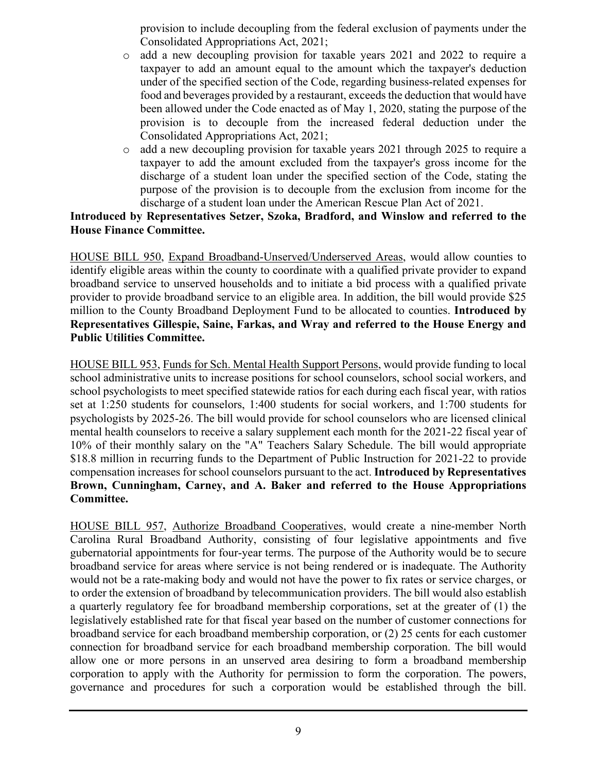provision to include decoupling from the federal exclusion of payments under the Consolidated Appropriations Act, 2021;

- o add a new decoupling provision for taxable years 2021 and 2022 to require a taxpayer to add an amount equal to the amount which the taxpayer's deduction under of the specified section of the Code, regarding business-related expenses for food and beverages provided by a restaurant, exceeds the deduction that would have been allowed under the Code enacted as of May 1, 2020, stating the purpose of the provision is to decouple from the increased federal deduction under the Consolidated Appropriations Act, 2021;
- o add a new decoupling provision for taxable years 2021 through 2025 to require a taxpayer to add the amount excluded from the taxpayer's gross income for the discharge of a student loan under the specified section of the Code, stating the purpose of the provision is to decouple from the exclusion from income for the discharge of a student loan under the American Rescue Plan Act of 2021.

#### **Introduced by Representatives Setzer, Szoka, Bradford, and Winslow and referred to the House Finance Committee.**

HOUSE BILL 950, Expand Broadband-Unserved/Underserved Areas, would allow counties to identify eligible areas within the county to coordinate with a qualified private provider to expand broadband service to unserved households and to initiate a bid process with a qualified private provider to provide broadband service to an eligible area. In addition, the bill would provide \$25 million to the County Broadband Deployment Fund to be allocated to counties. **Introduced by Representatives Gillespie, Saine, Farkas, and Wray and referred to the House Energy and Public Utilities Committee.**

HOUSE BILL 953, Funds for Sch. Mental Health Support Persons, would provide funding to local school administrative units to increase positions for school counselors, school social workers, and school psychologists to meet specified statewide ratios for each during each fiscal year, with ratios set at 1:250 students for counselors, 1:400 students for social workers, and 1:700 students for psychologists by 2025-26. The bill would provide for school counselors who are licensed clinical mental health counselors to receive a salary supplement each month for the 2021-22 fiscal year of 10% of their monthly salary on the "A" Teachers Salary Schedule. The bill would appropriate \$18.8 million in recurring funds to the Department of Public Instruction for 2021-22 to provide compensation increases for school counselors pursuant to the act. **Introduced by Representatives Brown, Cunningham, Carney, and A. Baker and referred to the House Appropriations Committee.**

HOUSE BILL 957, Authorize Broadband Cooperatives, would create a nine-member North Carolina Rural Broadband Authority, consisting of four legislative appointments and five gubernatorial appointments for four-year terms. The purpose of the Authority would be to secure broadband service for areas where service is not being rendered or is inadequate. The Authority would not be a rate-making body and would not have the power to fix rates or service charges, or to order the extension of broadband by telecommunication providers. The bill would also establish a quarterly regulatory fee for broadband membership corporations, set at the greater of (1) the legislatively established rate for that fiscal year based on the number of customer connections for broadband service for each broadband membership corporation, or (2) 25 cents for each customer connection for broadband service for each broadband membership corporation. The bill would allow one or more persons in an unserved area desiring to form a broadband membership corporation to apply with the Authority for permission to form the corporation. The powers, governance and procedures for such a corporation would be established through the bill.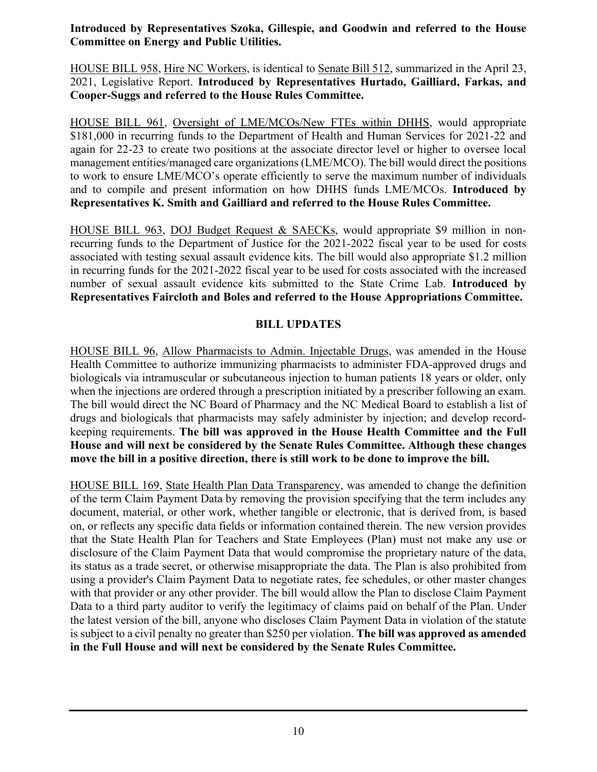**Introduced by Representatives Szoka, Gillespie, and Goodwin and referred to the House Committee on Energy and Public Utilities.**

HOUSE BILL 958, Hire NC Workers, is identical to Senate Bill 512, summarized in the April 23, 2021, Legislative Report. **Introduced by Representatives Hurtado, Gailliard, Farkas, and Cooper-Suggs and referred to the House Rules Committee.**

HOUSE BILL 961, Oversight of LME/MCOs/New FTEs within DHHS, would appropriate \$181,000 in recurring funds to the Department of Health and Human Services for 2021-22 and again for 22-23 to create two positions at the associate director level or higher to oversee local management entities/managed care organizations (LME/MCO). The bill would direct the positions to work to ensure LME/MCO's operate efficiently to serve the maximum number of individuals and to compile and present information on how DHHS funds LME/MCOs. **Introduced by Representatives K. Smith and Gailliard and referred to the House Rules Committee.**

HOUSE BILL 963, DOJ Budget Request & SAECKs, would appropriate \$9 million in nonrecurring funds to the Department of Justice for the 2021-2022 fiscal year to be used for costs associated with testing sexual assault evidence kits. The bill would also appropriate \$1.2 million in recurring funds for the 2021-2022 fiscal year to be used for costs associated with the increased number of sexual assault evidence kits submitted to the State Crime Lab. **Introduced by Representatives Faircloth and Boles and referred to the House Appropriations Committee.**

# **BILL UPDATES**

HOUSE BILL 96, Allow Pharmacists to Admin. Injectable Drugs, was amended in the House Health Committee to authorize immunizing pharmacists to administer FDA-approved drugs and biologicals via intramuscular or subcutaneous injection to human patients 18 years or older, only when the injections are ordered through a prescription initiated by a prescriber following an exam. The bill would direct the NC Board of Pharmacy and the NC Medical Board to establish a list of drugs and biologicals that pharmacists may safely administer by injection; and develop recordkeeping requirements. **The bill was approved in the House Health Committee and the Full House and will next be considered by the Senate Rules Committee. Although these changes move the bill in a positive direction, there is still work to be done to improve the bill.**

HOUSE BILL 169, State Health Plan Data Transparency, was amended to change the definition of the term Claim Payment Data by removing the provision specifying that the term includes any document, material, or other work, whether tangible or electronic, that is derived from, is based on, or reflects any specific data fields or information contained therein. The new version provides that the State Health Plan for Teachers and State Employees (Plan) must not make any use or disclosure of the Claim Payment Data that would compromise the proprietary nature of the data, its status as a trade secret, or otherwise misappropriate the data. The Plan is also prohibited from using a provider's Claim Payment Data to negotiate rates, fee schedules, or other master changes with that provider or any other provider. The bill would allow the Plan to disclose Claim Payment Data to a third party auditor to verify the legitimacy of claims paid on behalf of the Plan. Under the latest version of the bill, anyone who discloses Claim Payment Data in violation of the statute is subject to a civil penalty no greater than \$250 per violation. **The bill was approved as amended in the Full House and will next be considered by the Senate Rules Committee.**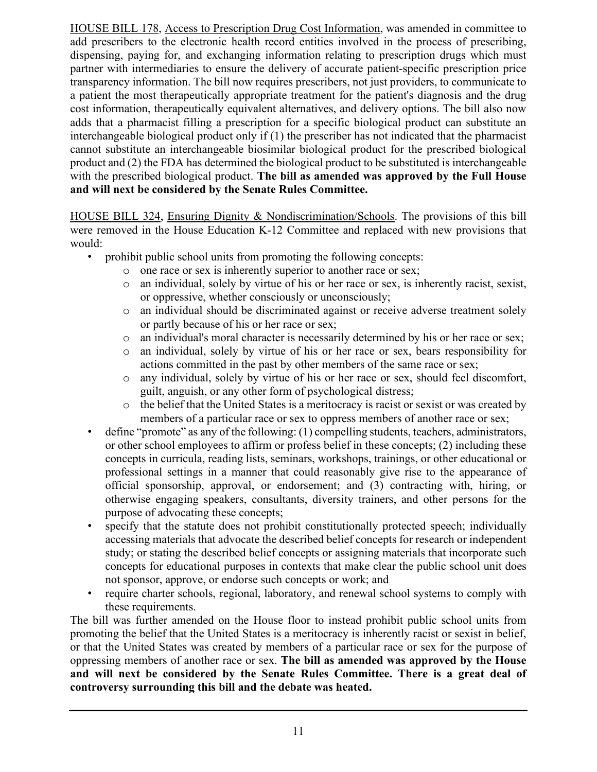HOUSE BILL 178, Access to Prescription Drug Cost Information, was amended in committee to add prescribers to the electronic health record entities involved in the process of prescribing, dispensing, paying for, and exchanging information relating to prescription drugs which must partner with intermediaries to ensure the delivery of accurate patient-specific prescription price transparency information. The bill now requires prescribers, not just providers, to communicate to a patient the most therapeutically appropriate treatment for the patient's diagnosis and the drug cost information, therapeutically equivalent alternatives, and delivery options. The bill also now adds that a pharmacist filling a prescription for a specific biological product can substitute an interchangeable biological product only if (1) the prescriber has not indicated that the pharmacist cannot substitute an interchangeable biosimilar biological product for the prescribed biological product and (2) the FDA has determined the biological product to be substituted is interchangeable with the prescribed biological product. **The bill as amended was approved by the Full House and will next be considered by the Senate Rules Committee.**

HOUSE BILL 324, Ensuring Dignity & Nondiscrimination/Schools. The provisions of this bill were removed in the House Education K-12 Committee and replaced with new provisions that would:

- prohibit public school units from promoting the following concepts:
	- o one race or sex is inherently superior to another race or sex;<br>o an individual, solely by virtue of his or her race or sex, is in
	- an individual, solely by virtue of his or her race or sex, is inherently racist, sexist, or oppressive, whether consciously or unconsciously;
	- o an individual should be discriminated against or receive adverse treatment solely or partly because of his or her race or sex;
	- o an individual's moral character is necessarily determined by his or her race or sex;<br>o an individual, solely by virtue of his or her race or sex, bears responsibility for
	- an individual, solely by virtue of his or her race or sex, bears responsibility for actions committed in the past by other members of the same race or sex;
	- o any individual, solely by virtue of his or her race or sex, should feel discomfort, guilt, anguish, or any other form of psychological distress;
	- o the belief that the United States is a meritocracy is racist or sexist or was created by members of a particular race or sex to oppress members of another race or sex;
- define "promote" as any of the following: (1) compelling students, teachers, administrators, or other school employees to affirm or profess belief in these concepts; (2) including these concepts in curricula, reading lists, seminars, workshops, trainings, or other educational or professional settings in a manner that could reasonably give rise to the appearance of official sponsorship, approval, or endorsement; and (3) contracting with, hiring, or otherwise engaging speakers, consultants, diversity trainers, and other persons for the purpose of advocating these concepts;
- specify that the statute does not prohibit constitutionally protected speech; individually accessing materials that advocate the described belief concepts for research or independent study; or stating the described belief concepts or assigning materials that incorporate such concepts for educational purposes in contexts that make clear the public school unit does not sponsor, approve, or endorse such concepts or work; and
- require charter schools, regional, laboratory, and renewal school systems to comply with these requirements.

The bill was further amended on the House floor to instead prohibit public school units from promoting the belief that the United States is a meritocracy is inherently racist or sexist in belief, or that the United States was created by members of a particular race or sex for the purpose of oppressing members of another race or sex. **The bill as amended was approved by the House and will next be considered by the Senate Rules Committee. There is a great deal of controversy surrounding this bill and the debate was heated.**